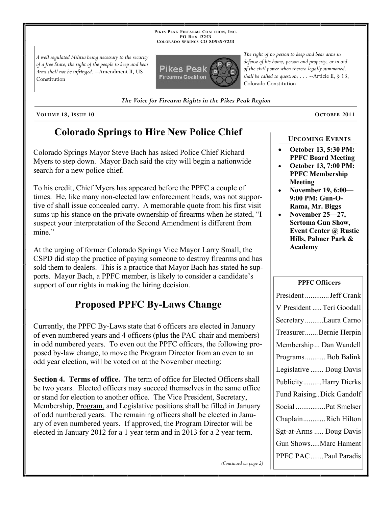**PIKES PEAK FIREARMS COALITION, INC. PO BOX 17253 COLORADO SPRINGS CO 80935 -7253**

*A well regulated Militia being necessary to the security of a free State, the right of the people to keep and bear Arms shall not be infringed.* --Amendment II, US Constitution



*The Voice for Firearm Rights in the Pikes Peak Region*

**VOLUME 18, ISSUE 10 OCTOBER 2011**

# **Colorado Springs to Hire New Police Chief**

Colorado Springs Mayor Steve Bach has asked Police Chief Richard Myers to step down. Mayor Bach said the city will begin a nationwide search for a new police chief.

To his credit, Chief Myers has appeared before the PPFC a couple of times. He, like many non-elected law enforcement heads, was not supportive of shall issue concealed carry. A memorable quote from his first visit sums up his stance on the private ownership of firearms when he stated, "I suspect your interpretation of the Second Amendment is different from mine."

At the urging of former Colorado Springs Vice Mayor Larry Small, the CSPD did stop the practice of paying someone to destroy firearms and has sold them to dealers. This is a practice that Mayor Bach has stated he supports. Mayor Bach, a PPFC member, is likely to consider a candidate's support of our rights in making the hiring decision.

# **Proposed PPFC By-Laws Change**

Currently, the PPFC By-Laws state that 6 officers are elected in January of even numbered years and 4 officers (plus the PAC chair and members) in odd numbered years. To even out the PPFC officers, the following proposed by-law change, to move the Program Director from an even to an odd year election, will be voted on at the November meeting:

**Section 4. Terms of office.** The term of office for Elected Officers shall be two years. Elected officers may succeed themselves in the same office or stand for election to another office. The Vice President, Secretary, Membership, Program, and Legislative positions shall be filled in January of odd numbered years. The remaining officers shall be elected in January of even numbered years. If approved, the Program Director will be elected in January 2012 for a 1 year term and in 2013 for a 2 year term.

*(Continued on page 2)*

*The right of no person to keep and bear arms in defense of his home, person and property, or in aid of the civil power when thereto legally summoned, shall be called to question; . . .* --Article II, § 13, Colorado Constitution

#### **UPCOMING EVENTS**

- **October 13, 5:30 PM: PPFC Board Meeting**
- **October 13, 7:00 PM: PPFC Membership Meeting**
- **November 19, 6:00— 9:00 PM: Gun-O-Rama, Mr. Biggs**
- **November 25—27, Sertoma Gun Show, Event Center @ Rustic Hills, Palmer Park & Academy**

#### **PPFC Officers**

| President  Jeff Crank     |
|---------------------------|
| V President  Teri Goodall |
| Secretary Laura Carno     |
| TreasurerBernie Herpin    |
| Membership Dan Wandell    |
| Programs Bob Balink       |
| Legislative  Doug Davis   |
| PublicityHarry Dierks     |
| Fund Raising Dick Gandolf |
| Social Pat Smelser        |
| ChaplainRich Hilton       |
| Sgt-at-Arms  Doug Davis   |
| Gun ShowsMarc Hament      |
| PPFC PAC  Paul Paradis    |